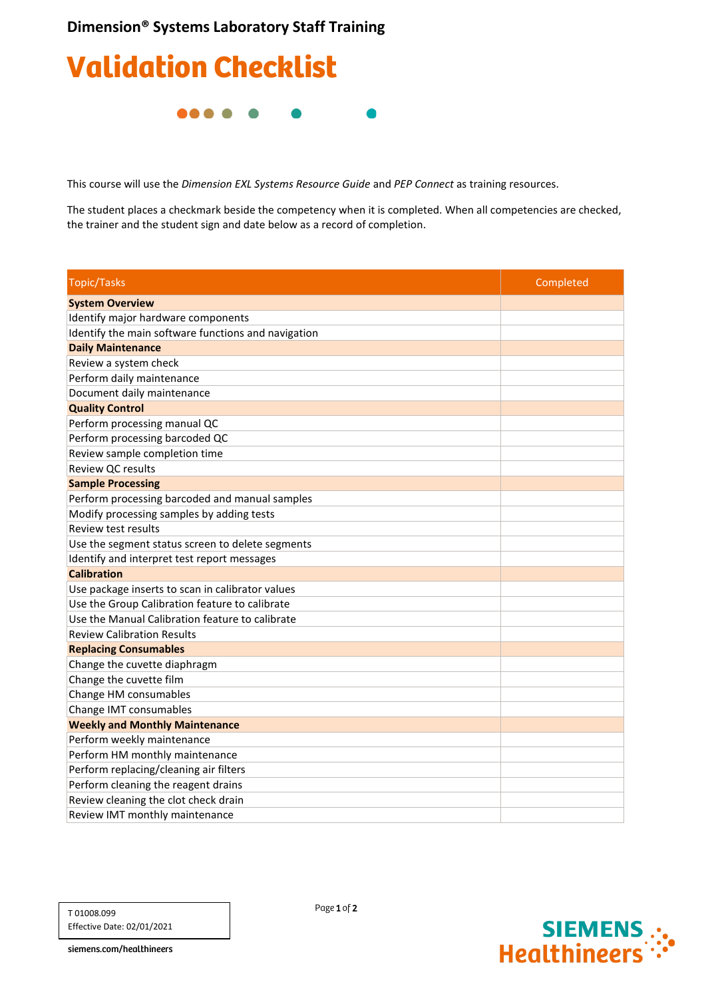#### **Dimension® Systems Laboratory Staff Training**

# Validation Checklist

.....

This course will use the *Dimension EXL Systems Resource Guide* and *PEP Connect* as training resources.

The student places a checkmark beside the competency when it is completed. When all competencies are checked, the trainer and the student sign and date below as a record of completion.

| <b>Topic/Tasks</b>                                  | Completed |
|-----------------------------------------------------|-----------|
| <b>System Overview</b>                              |           |
| Identify major hardware components                  |           |
| Identify the main software functions and navigation |           |
| <b>Daily Maintenance</b>                            |           |
| Review a system check                               |           |
| Perform daily maintenance                           |           |
| Document daily maintenance                          |           |
| <b>Quality Control</b>                              |           |
| Perform processing manual QC                        |           |
| Perform processing barcoded QC                      |           |
| Review sample completion time                       |           |
| Review QC results                                   |           |
| <b>Sample Processing</b>                            |           |
| Perform processing barcoded and manual samples      |           |
| Modify processing samples by adding tests           |           |
| <b>Review test results</b>                          |           |
| Use the segment status screen to delete segments    |           |
| Identify and interpret test report messages         |           |
| <b>Calibration</b>                                  |           |
| Use package inserts to scan in calibrator values    |           |
| Use the Group Calibration feature to calibrate      |           |
| Use the Manual Calibration feature to calibrate     |           |
| <b>Review Calibration Results</b>                   |           |
| <b>Replacing Consumables</b>                        |           |
| Change the cuvette diaphragm                        |           |
| Change the cuvette film                             |           |
| Change HM consumables                               |           |
| Change IMT consumables                              |           |
| <b>Weekly and Monthly Maintenance</b>               |           |
| Perform weekly maintenance                          |           |
| Perform HM monthly maintenance                      |           |
| Perform replacing/cleaning air filters              |           |
| Perform cleaning the reagent drains                 |           |
| Review cleaning the clot check drain                |           |
| Review IMT monthly maintenance                      |           |

T 01008.099 Effective Date: 02/01/2021



siemens.com/healthineers